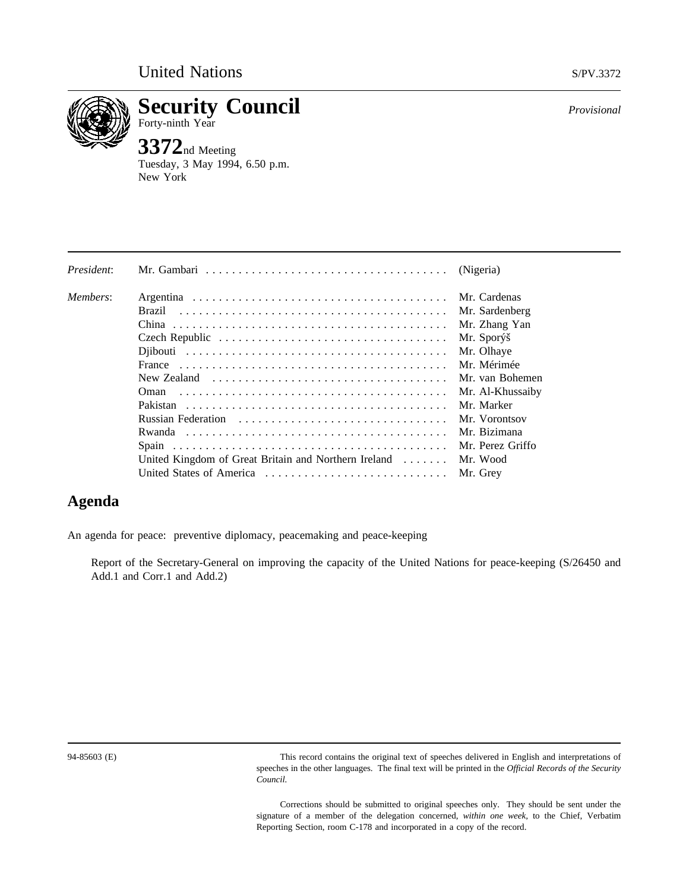

**Security Council** *Provisional* Forty-ninth Year

**3372**nd Meeting Tuesday, 3 May 1994, 6.50 p.m. New York

| President: |                                                                                     | (Nigeria)        |
|------------|-------------------------------------------------------------------------------------|------------------|
| Members:   |                                                                                     | Mr. Cardenas     |
|            | Brazil                                                                              | Mr. Sardenberg   |
|            |                                                                                     | Mr. Zhang Yan    |
|            |                                                                                     | Mr. Sporýš       |
|            |                                                                                     | Mr. Olhaye       |
|            |                                                                                     | Mr. Mérimée      |
|            | New Zealand $\ldots \ldots \ldots \ldots \ldots \ldots \ldots \ldots \ldots \ldots$ | Mr. van Bohemen  |
|            | Oman                                                                                | Mr. Al-Khussaiby |
|            |                                                                                     | Mr. Marker       |
|            |                                                                                     | Mr. Vorontsov    |
|            |                                                                                     | Mr. Bizimana     |
|            |                                                                                     | Mr. Perez Griffo |
|            | United Kingdom of Great Britain and Northern Ireland                                | Mr. Wood         |
|            | United States of America                                                            | Mr. Grey         |

# **Agenda**

An agenda for peace: preventive diplomacy, peacemaking and peace-keeping

Report of the Secretary-General on improving the capacity of the United Nations for peace-keeping (S/26450 and Add.1 and Corr.1 and Add.2)

94-85603 (E) This record contains the original text of speeches delivered in English and interpretations of speeches in the other languages. The final text will be printed in the *Official Records of the Security Council.*

> Corrections should be submitted to original speeches only. They should be sent under the signature of a member of the delegation concerned, *within one week,* to the Chief, Verbatim Reporting Section, room C-178 and incorporated in a copy of the record.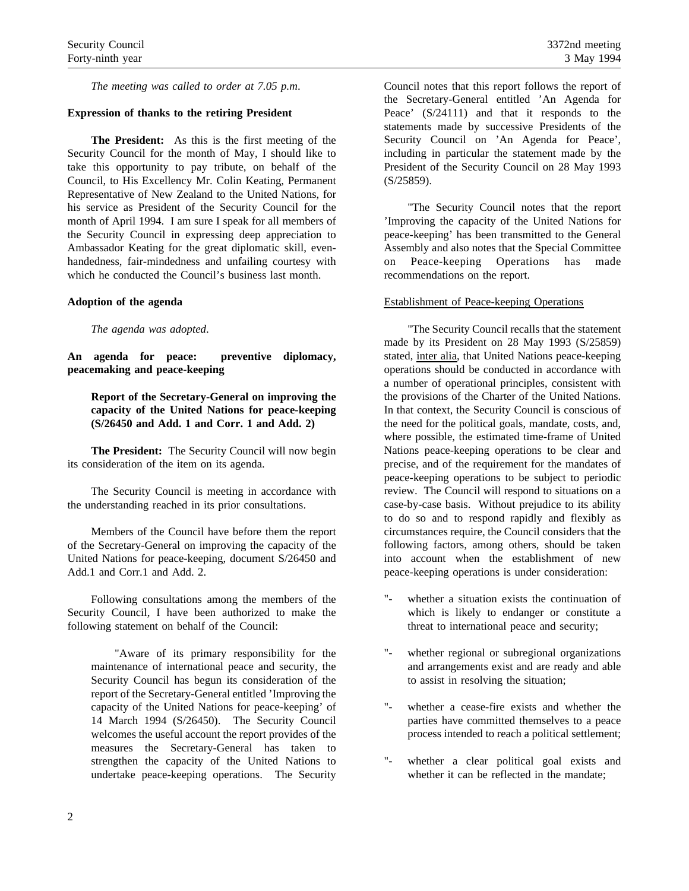*The meeting was called to order at 7.05 p.m*.

#### **Expression of thanks to the retiring President**

**The President:** As this is the first meeting of the Security Council for the month of May, I should like to take this opportunity to pay tribute, on behalf of the Council, to His Excellency Mr. Colin Keating, Permanent Representative of New Zealand to the United Nations, for his service as President of the Security Council for the month of April 1994. I am sure I speak for all members of the Security Council in expressing deep appreciation to Ambassador Keating for the great diplomatic skill, evenhandedness, fair-mindedness and unfailing courtesy with which he conducted the Council's business last month.

#### **Adoption of the agenda**

*The agenda was adopted*.

**An agenda for peace: preventive diplomacy, peacemaking and peace-keeping**

**Report of the Secretary-General on improving the capacity of the United Nations for peace-keeping (S/26450 and Add. 1 and Corr. 1 and Add. 2)**

**The President:** The Security Council will now begin its consideration of the item on its agenda.

The Security Council is meeting in accordance with the understanding reached in its prior consultations.

Members of the Council have before them the report of the Secretary-General on improving the capacity of the United Nations for peace-keeping, document S/26450 and Add.1 and Corr.1 and Add. 2.

Following consultations among the members of the Security Council, I have been authorized to make the following statement on behalf of the Council:

"Aware of its primary responsibility for the maintenance of international peace and security, the Security Council has begun its consideration of the report of the Secretary-General entitled 'Improving the capacity of the United Nations for peace-keeping' of 14 March 1994 (S/26450). The Security Council welcomes the useful account the report provides of the measures the Secretary-General has taken to strengthen the capacity of the United Nations to undertake peace-keeping operations. The Security Council notes that this report follows the report of the Secretary-General entitled 'An Agenda for Peace' (S/24111) and that it responds to the statements made by successive Presidents of the Security Council on 'An Agenda for Peace', including in particular the statement made by the President of the Security Council on 28 May 1993 (S/25859).

"The Security Council notes that the report 'Improving the capacity of the United Nations for peace-keeping' has been transmitted to the General Assembly and also notes that the Special Committee on Peace-keeping Operations has made recommendations on the report.

#### Establishment of Peace-keeping Operations

"The Security Council recalls that the statement made by its President on 28 May 1993 (S/25859) stated, inter alia, that United Nations peace-keeping operations should be conducted in accordance with a number of operational principles, consistent with the provisions of the Charter of the United Nations. In that context, the Security Council is conscious of the need for the political goals, mandate, costs, and, where possible, the estimated time-frame of United Nations peace-keeping operations to be clear and precise, and of the requirement for the mandates of peace-keeping operations to be subject to periodic review. The Council will respond to situations on a case-by-case basis. Without prejudice to its ability to do so and to respond rapidly and flexibly as circumstances require, the Council considers that the following factors, among others, should be taken into account when the establishment of new peace-keeping operations is under consideration:

- "- whether a situation exists the continuation of which is likely to endanger or constitute a threat to international peace and security;
- "- whether regional or subregional organizations and arrangements exist and are ready and able to assist in resolving the situation;
- "- whether a cease-fire exists and whether the parties have committed themselves to a peace process intended to reach a political settlement;
- whether a clear political goal exists and whether it can be reflected in the mandate;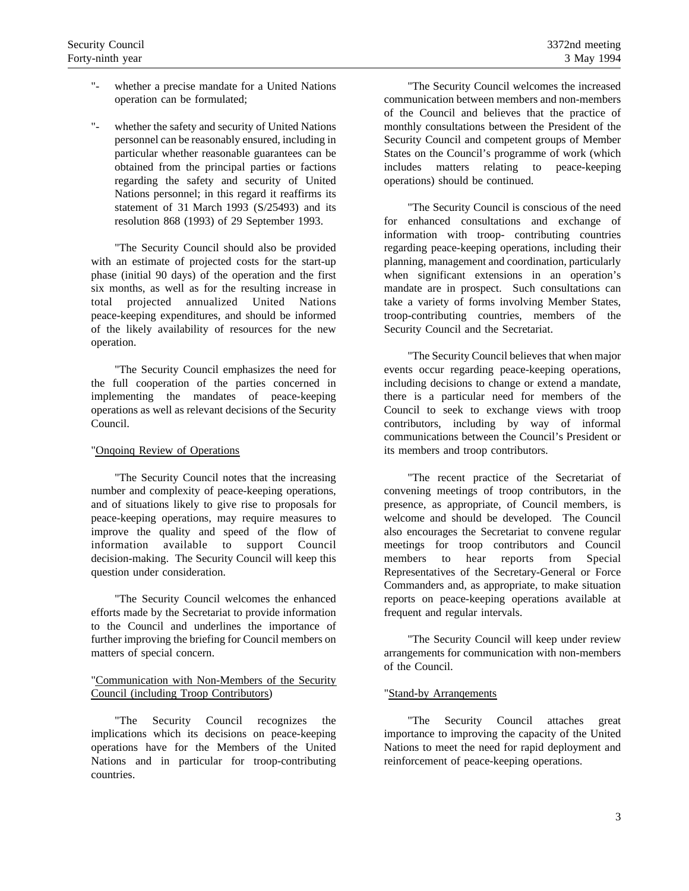- "- whether a precise mandate for a United Nations operation can be formulated;
- "- whether the safety and security of United Nations personnel can be reasonably ensured, including in particular whether reasonable guarantees can be obtained from the principal parties or factions regarding the safety and security of United Nations personnel; in this regard it reaffirms its statement of 31 March 1993 (S/25493) and its resolution 868 (1993) of 29 September 1993.

"The Security Council should also be provided with an estimate of projected costs for the start-up phase (initial 90 days) of the operation and the first six months, as well as for the resulting increase in total projected annualized United Nations peace-keeping expenditures, and should be informed of the likely availability of resources for the new operation.

"The Security Council emphasizes the need for the full cooperation of the parties concerned in implementing the mandates of peace-keeping operations as well as relevant decisions of the Security Council.

# "Onqoinq Review of Operations

"The Security Council notes that the increasing number and complexity of peace-keeping operations, and of situations likely to give rise to proposals for peace-keeping operations, may require measures to improve the quality and speed of the flow of information available to support Council decision-making. The Security Council will keep this question under consideration.

"The Security Council welcomes the enhanced efforts made by the Secretariat to provide information to the Council and underlines the importance of further improving the briefing for Council members on matters of special concern.

# "Communication with Non-Members of the Security Council (including Troop Contributors)

"The Security Council recognizes the implications which its decisions on peace-keeping operations have for the Members of the United Nations and in particular for troop-contributing countries.

"The Security Council welcomes the increased communication between members and non-members of the Council and believes that the practice of monthly consultations between the President of the Security Council and competent groups of Member States on the Council's programme of work (which includes matters relating to peace-keeping operations) should be continued.

"The Security Council is conscious of the need for enhanced consultations and exchange of information with troop- contributing countries regarding peace-keeping operations, including their planning, management and coordination, particularly when significant extensions in an operation's mandate are in prospect. Such consultations can take a variety of forms involving Member States, troop-contributing countries, members of the Security Council and the Secretariat.

"The Security Council believes that when major events occur regarding peace-keeping operations, including decisions to change or extend a mandate, there is a particular need for members of the Council to seek to exchange views with troop contributors, including by way of informal communications between the Council's President or its members and troop contributors.

"The recent practice of the Secretariat of convening meetings of troop contributors, in the presence, as appropriate, of Council members, is welcome and should be developed. The Council also encourages the Secretariat to convene regular meetings for troop contributors and Council members to hear reports from Special Representatives of the Secretary-General or Force Commanders and, as appropriate, to make situation reports on peace-keeping operations available at frequent and regular intervals.

"The Security Council will keep under review arrangements for communication with non-members of the Council.

# "Stand-by Arranqements

"The Security Council attaches great importance to improving the capacity of the United Nations to meet the need for rapid deployment and reinforcement of peace-keeping operations.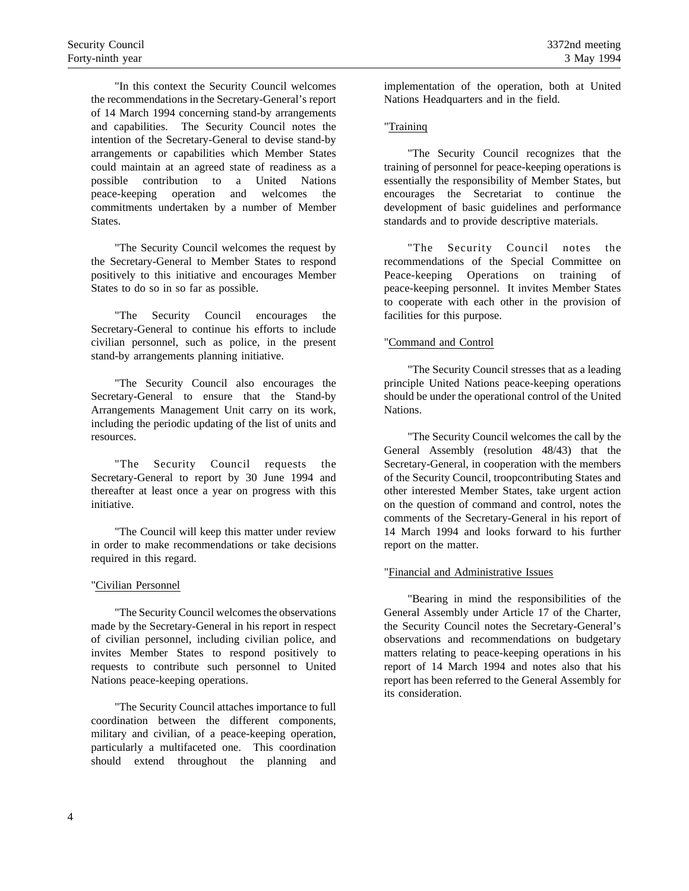"In this context the Security Council welcomes the recommendations in the Secretary-General's report of 14 March 1994 concerning stand-by arrangements and capabilities. The Security Council notes the intention of the Secretary-General to devise stand-by arrangements or capabilities which Member States could maintain at an agreed state of readiness as a possible contribution to a United Nations peace-keeping operation and welcomes the commitments undertaken by a number of Member States.

"The Security Council welcomes the request by the Secretary-General to Member States to respond positively to this initiative and encourages Member States to do so in so far as possible.

"The Security Council encourages the Secretary-General to continue his efforts to include civilian personnel, such as police, in the present stand-by arrangements planning initiative.

"The Security Council also encourages the Secretary-General to ensure that the Stand-by Arrangements Management Unit carry on its work, including the periodic updating of the list of units and resources.

"The Security Council requests the Secretary-General to report by 30 June 1994 and thereafter at least once a year on progress with this initiative.

"The Council will keep this matter under review in order to make recommendations or take decisions required in this regard.

# "Civilian Personnel

"The Security Council welcomes the observations made by the Secretary-General in his report in respect of civilian personnel, including civilian police, and invites Member States to respond positively to requests to contribute such personnel to United Nations peace-keeping operations.

"The Security Council attaches importance to full coordination between the different components, military and civilian, of a peace-keeping operation, particularly a multifaceted one. This coordination should extend throughout the planning and

implementation of the operation, both at United Nations Headquarters and in the field.

#### "Traininq

"The Security Council recognizes that the training of personnel for peace-keeping operations is essentially the responsibility of Member States, but encourages the Secretariat to continue the development of basic guidelines and performance standards and to provide descriptive materials.

"The Security Council notes the recommendations of the Special Committee on Peace-keeping Operations on training of peace-keeping personnel. It invites Member States to cooperate with each other in the provision of facilities for this purpose.

#### "Command and Control

"The Security Council stresses that as a leading principle United Nations peace-keeping operations should be under the operational control of the United Nations.

"The Security Council welcomes the call by the General Assembly (resolution 48/43) that the Secretary-General, in cooperation with the members of the Security Council, troopcontributing States and other interested Member States, take urgent action on the question of command and control, notes the comments of the Secretary-General in his report of 14 March 1994 and looks forward to his further report on the matter.

# "Financial and Administrative Issues

"Bearing in mind the responsibilities of the General Assembly under Article 17 of the Charter, the Security Council notes the Secretary-General's observations and recommendations on budgetary matters relating to peace-keeping operations in his report of 14 March 1994 and notes also that his report has been referred to the General Assembly for its consideration.